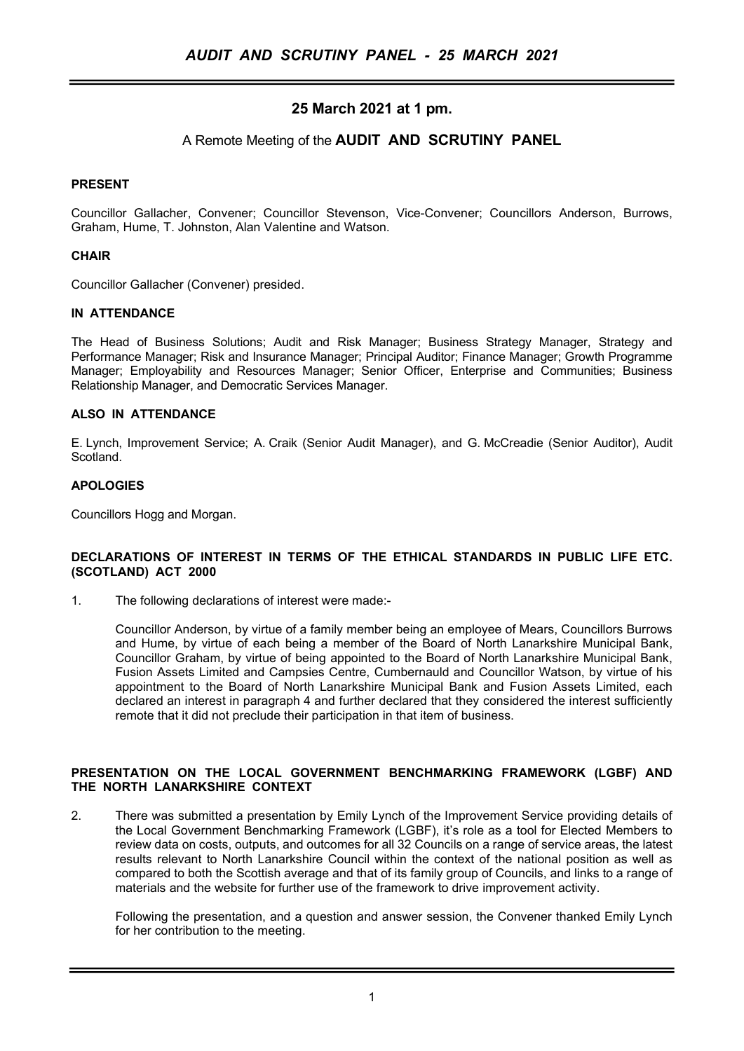# 25 March 2021 at 1 pm.

## A Remote Meeting of the AUDIT AND SCRUTINY PANEL

### PRESENT

Councillor Gallacher, Convener; Councillor Stevenson, Vice-Convener; Councillors Anderson, Burrows, Graham, Hume, T. Johnston, Alan Valentine and Watson.

#### **CHAIR**

Councillor Gallacher (Convener) presided.

#### IN ATTENDANCE

The Head of Business Solutions; Audit and Risk Manager; Business Strategy Manager, Strategy and Performance Manager; Risk and Insurance Manager; Principal Auditor; Finance Manager; Growth Programme Manager; Employability and Resources Manager; Senior Officer, Enterprise and Communities; Business Relationship Manager, and Democratic Services Manager.

#### ALSO IN ATTENDANCE

E. Lynch, Improvement Service; A. Craik (Senior Audit Manager), and G. McCreadie (Senior Auditor), Audit Scotland.

## APOLOGIES

Councillors Hogg and Morgan.

#### DECLARATIONS OF INTEREST IN TERMS OF THE ETHICAL STANDARDS IN PUBLIC LIFE ETC. (SCOTLAND) ACT 2000

1. The following declarations of interest were made:-

Councillor Anderson, by virtue of a family member being an employee of Mears, Councillors Burrows and Hume, by virtue of each being a member of the Board of North Lanarkshire Municipal Bank, Councillor Graham, by virtue of being appointed to the Board of North Lanarkshire Municipal Bank, Fusion Assets Limited and Campsies Centre, Cumbernauld and Councillor Watson, by virtue of his appointment to the Board of North Lanarkshire Municipal Bank and Fusion Assets Limited, each declared an interest in paragraph 4 and further declared that they considered the interest sufficiently remote that it did not preclude their participation in that item of business.

#### PRESENTATION ON THE LOCAL GOVERNMENT BENCHMARKING FRAMEWORK (LGBF) AND THE NORTH LANARKSHIRE CONTEXT

2. There was submitted a presentation by Emily Lynch of the Improvement Service providing details of the Local Government Benchmarking Framework (LGBF), it's role as a tool for Elected Members to review data on costs, outputs, and outcomes for all 32 Councils on a range of service areas, the latest results relevant to North Lanarkshire Council within the context of the national position as well as compared to both the Scottish average and that of its family group of Councils, and links to a range of materials and the website for further use of the framework to drive improvement activity.

Following the presentation, and a question and answer session, the Convener thanked Emily Lynch for her contribution to the meeting.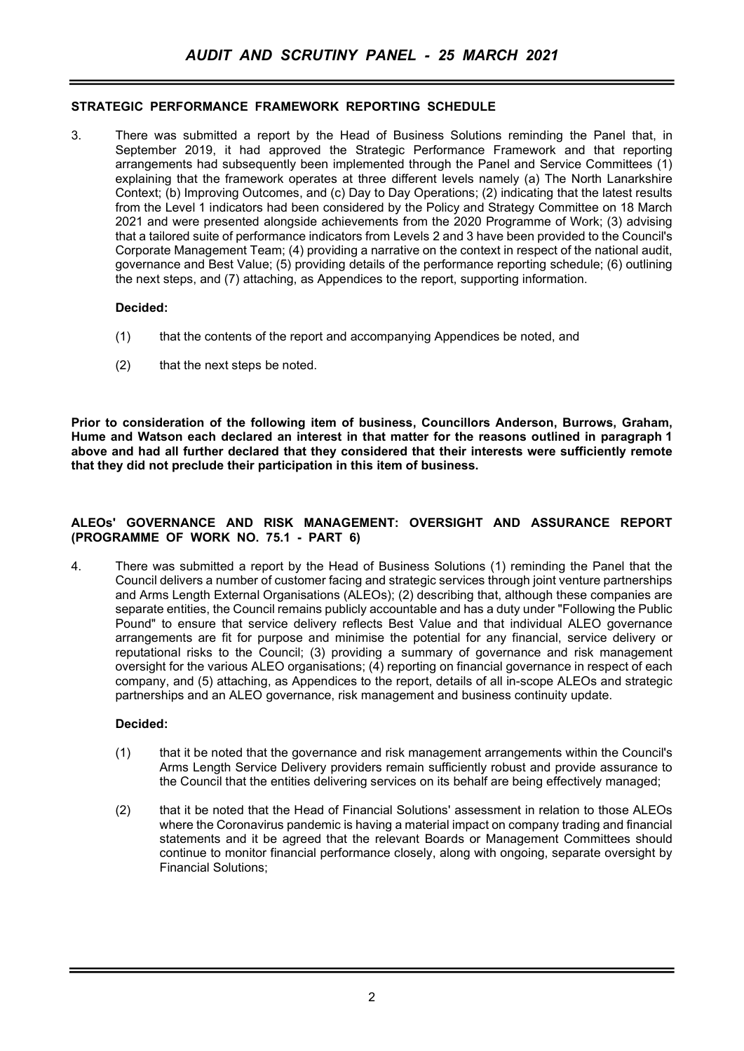## STRATEGIC PERFORMANCE FRAMEWORK REPORTING SCHEDULE

3. There was submitted a report by the Head of Business Solutions reminding the Panel that, in September 2019, it had approved the Strategic Performance Framework and that reporting arrangements had subsequently been implemented through the Panel and Service Committees (1) explaining that the framework operates at three different levels namely (a) The North Lanarkshire Context; (b) Improving Outcomes, and (c) Day to Day Operations; (2) indicating that the latest results from the Level 1 indicators had been considered by the Policy and Strategy Committee on 18 March 2021 and were presented alongside achievements from the 2020 Programme of Work; (3) advising that a tailored suite of performance indicators from Levels 2 and 3 have been provided to the Council's Corporate Management Team; (4) providing a narrative on the context in respect of the national audit, governance and Best Value; (5) providing details of the performance reporting schedule; (6) outlining the next steps, and (7) attaching, as Appendices to the report, supporting information.

#### Decided:

- (1) that the contents of the report and accompanying Appendices be noted, and
- (2) that the next steps be noted.

Prior to consideration of the following item of business, Councillors Anderson, Burrows, Graham, Hume and Watson each declared an interest in that matter for the reasons outlined in paragraph 1 above and had all further declared that they considered that their interests were sufficiently remote that they did not preclude their participation in this item of business.

#### ALEOs' GOVERNANCE AND RISK MANAGEMENT: OVERSIGHT AND ASSURANCE REPORT (PROGRAMME OF WORK NO. 75.1 - PART 6)

4. There was submitted a report by the Head of Business Solutions (1) reminding the Panel that the Council delivers a number of customer facing and strategic services through joint venture partnerships and Arms Length External Organisations (ALEOs); (2) describing that, although these companies are separate entities, the Council remains publicly accountable and has a duty under "Following the Public Pound" to ensure that service delivery reflects Best Value and that individual ALEO governance arrangements are fit for purpose and minimise the potential for any financial, service delivery or reputational risks to the Council; (3) providing a summary of governance and risk management oversight for the various ALEO organisations; (4) reporting on financial governance in respect of each company, and (5) attaching, as Appendices to the report, details of all in-scope ALEOs and strategic partnerships and an ALEO governance, risk management and business continuity update.

#### Decided:

- (1) that it be noted that the governance and risk management arrangements within the Council's Arms Length Service Delivery providers remain sufficiently robust and provide assurance to the Council that the entities delivering services on its behalf are being effectively managed;
- (2) that it be noted that the Head of Financial Solutions' assessment in relation to those ALEOs where the Coronavirus pandemic is having a material impact on company trading and financial statements and it be agreed that the relevant Boards or Management Committees should continue to monitor financial performance closely, along with ongoing, separate oversight by Financial Solutions;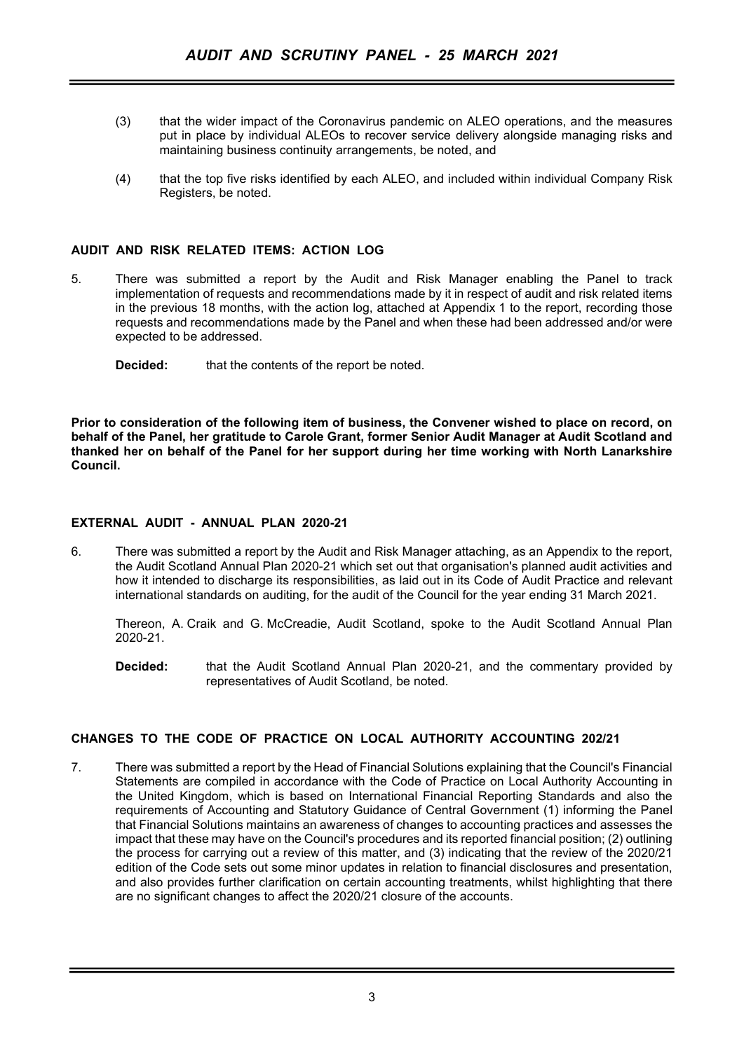- (3) that the wider impact of the Coronavirus pandemic on ALEO operations, and the measures put in place by individual ALEOs to recover service delivery alongside managing risks and maintaining business continuity arrangements, be noted, and
- (4) that the top five risks identified by each ALEO, and included within individual Company Risk Registers, be noted.

### AUDIT AND RISK RELATED ITEMS: ACTION LOG

5. There was submitted a report by the Audit and Risk Manager enabling the Panel to track implementation of requests and recommendations made by it in respect of audit and risk related items in the previous 18 months, with the action log, attached at Appendix 1 to the report, recording those requests and recommendations made by the Panel and when these had been addressed and/or were expected to be addressed.

**Decided:** that the contents of the report be noted.

Prior to consideration of the following item of business, the Convener wished to place on record, on behalf of the Panel, her gratitude to Carole Grant, former Senior Audit Manager at Audit Scotland and thanked her on behalf of the Panel for her support during her time working with North Lanarkshire Council.

## EXTERNAL AUDIT - ANNUAL PLAN 2020-21

6. There was submitted a report by the Audit and Risk Manager attaching, as an Appendix to the report, the Audit Scotland Annual Plan 2020-21 which set out that organisation's planned audit activities and how it intended to discharge its responsibilities, as laid out in its Code of Audit Practice and relevant international standards on auditing, for the audit of the Council for the year ending 31 March 2021.

Thereon, A. Craik and G. McCreadie, Audit Scotland, spoke to the Audit Scotland Annual Plan 2020-21.

Decided: that the Audit Scotland Annual Plan 2020-21, and the commentary provided by representatives of Audit Scotland, be noted.

## CHANGES TO THE CODE OF PRACTICE ON LOCAL AUTHORITY ACCOUNTING 202/21

7. There was submitted a report by the Head of Financial Solutions explaining that the Council's Financial Statements are compiled in accordance with the Code of Practice on Local Authority Accounting in the United Kingdom, which is based on International Financial Reporting Standards and also the requirements of Accounting and Statutory Guidance of Central Government (1) informing the Panel that Financial Solutions maintains an awareness of changes to accounting practices and assesses the impact that these may have on the Council's procedures and its reported financial position; (2) outlining the process for carrying out a review of this matter, and (3) indicating that the review of the 2020/21 edition of the Code sets out some minor updates in relation to financial disclosures and presentation, and also provides further clarification on certain accounting treatments, whilst highlighting that there are no significant changes to affect the 2020/21 closure of the accounts.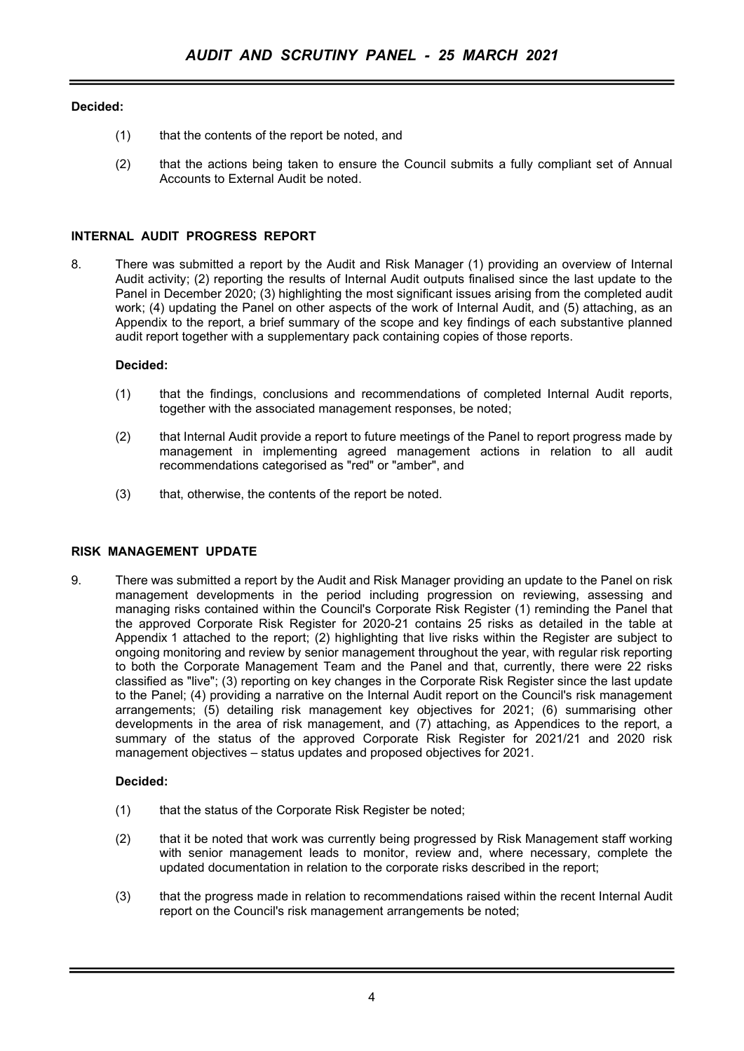## Decided:

- (1) that the contents of the report be noted, and
- (2) that the actions being taken to ensure the Council submits a fully compliant set of Annual Accounts to External Audit be noted.

## INTERNAL AUDIT PROGRESS REPORT

8. There was submitted a report by the Audit and Risk Manager (1) providing an overview of Internal Audit activity; (2) reporting the results of Internal Audit outputs finalised since the last update to the Panel in December 2020; (3) highlighting the most significant issues arising from the completed audit work; (4) updating the Panel on other aspects of the work of Internal Audit, and (5) attaching, as an Appendix to the report, a brief summary of the scope and key findings of each substantive planned audit report together with a supplementary pack containing copies of those reports.

### Decided:

- (1) that the findings, conclusions and recommendations of completed Internal Audit reports, together with the associated management responses, be noted;
- (2) that Internal Audit provide a report to future meetings of the Panel to report progress made by management in implementing agreed management actions in relation to all audit recommendations categorised as "red" or "amber", and
- (3) that, otherwise, the contents of the report be noted.

### RISK MANAGEMENT UPDATE

9. There was submitted a report by the Audit and Risk Manager providing an update to the Panel on risk management developments in the period including progression on reviewing, assessing and managing risks contained within the Council's Corporate Risk Register (1) reminding the Panel that the approved Corporate Risk Register for 2020-21 contains 25 risks as detailed in the table at Appendix 1 attached to the report; (2) highlighting that live risks within the Register are subject to ongoing monitoring and review by senior management throughout the year, with regular risk reporting to both the Corporate Management Team and the Panel and that, currently, there were 22 risks classified as "live"; (3) reporting on key changes in the Corporate Risk Register since the last update to the Panel; (4) providing a narrative on the Internal Audit report on the Council's risk management arrangements; (5) detailing risk management key objectives for 2021; (6) summarising other developments in the area of risk management, and (7) attaching, as Appendices to the report, a summary of the status of the approved Corporate Risk Register for 2021/21 and 2020 risk management objectives – status updates and proposed objectives for 2021.

### Decided:

- (1) that the status of the Corporate Risk Register be noted;
- (2) that it be noted that work was currently being progressed by Risk Management staff working with senior management leads to monitor, review and, where necessary, complete the updated documentation in relation to the corporate risks described in the report;
- (3) that the progress made in relation to recommendations raised within the recent Internal Audit report on the Council's risk management arrangements be noted;